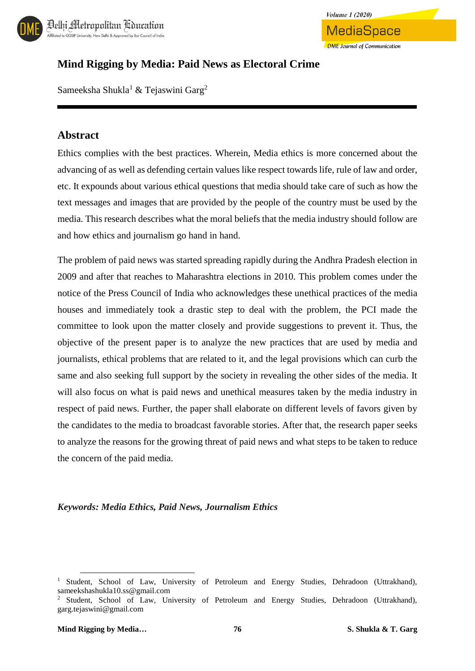

## **Mind Rigging by Media: Paid News as Electoral Crime**

Sameeksha Shukla<sup>1</sup> & Tejaswini Garg<sup>2</sup>

### **Abstract**

Ethics complies with the best practices. Wherein, Media ethics is more concerned about the advancing of as well as defending certain values like respect towards life, rule of law and order, etc. It expounds about various ethical questions that media should take care of such as how the text messages and images that are provided by the people of the country must be used by the media. This research describes what the moral beliefs that the media industry should follow are and how ethics and journalism go hand in hand.

The problem of paid news was started spreading rapidly during the Andhra Pradesh election in 2009 and after that reaches to Maharashtra elections in 2010. This problem comes under the notice of the Press Council of India who acknowledges these unethical practices of the media houses and immediately took a drastic step to deal with the problem, the PCI made the committee to look upon the matter closely and provide suggestions to prevent it. Thus, the objective of the present paper is to analyze the new practices that are used by media and journalists, ethical problems that are related to it, and the legal provisions which can curb the same and also seeking full support by the society in revealing the other sides of the media. It will also focus on what is paid news and unethical measures taken by the media industry in respect of paid news. Further, the paper shall elaborate on different levels of favors given by the candidates to the media to broadcast favorable stories. After that, the research paper seeks to analyze the reasons for the growing threat of paid news and what steps to be taken to reduce the concern of the paid media.

#### *Keywords: Media Ethics, Paid News, Journalism Ethics*

 $\overline{\phantom{a}}$ 

<sup>1</sup> Student, School of Law, University of Petroleum and Energy Studies, Dehradoon (Uttrakhand), sameekshashukla10.ss@gmail.com

<sup>&</sup>lt;sup>2</sup> Student, School of Law, University of Petroleum and Energy Studies, Dehradoon (Uttrakhand), garg.tejaswini@gmail.com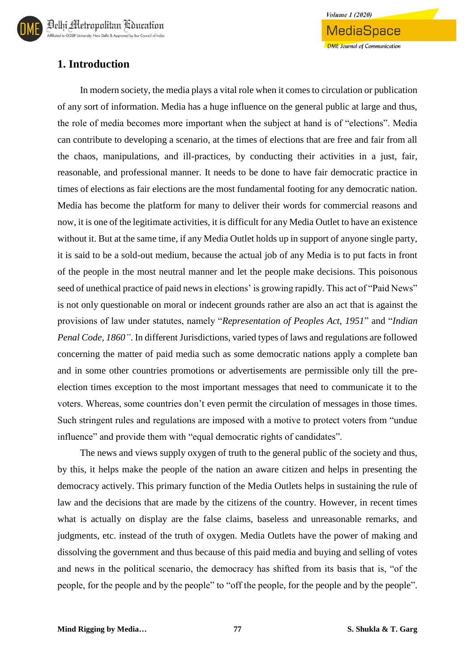

## **1. Introduction**

In modern society, the media plays a vital role when it comes to circulation or publication of any sort of information. Media has a huge influence on the general public at large and thus, the role of media becomes more important when the subject at hand is of "elections". Media can contribute to developing a scenario, at the times of elections that are free and fair from all the chaos, manipulations, and ill-practices, by conducting their activities in a just, fair, reasonable, and professional manner. It needs to be done to have fair democratic practice in times of elections as fair elections are the most fundamental footing for any democratic nation. Media has become the platform for many to deliver their words for commercial reasons and now, it is one of the legitimate activities, it is difficult for any Media Outlet to have an existence without it. But at the same time, if any Media Outlet holds up in support of anyone single party, it is said to be a sold-out medium, because the actual job of any Media is to put facts in front of the people in the most neutral manner and let the people make decisions. This poisonous seed of unethical practice of paid news in elections' is growing rapidly. This act of "Paid News" is not only questionable on moral or indecent grounds rather are also an act that is against the provisions of law under statutes, namely "*Representation of Peoples Act, 1951*" and "*Indian Penal Code, 1860"*. In different Jurisdictions, varied types of laws and regulations are followed concerning the matter of paid media such as some democratic nations apply a complete ban and in some other countries promotions or advertisements are permissible only till the preelection times exception to the most important messages that need to communicate it to the voters. Whereas, some countries don't even permit the circulation of messages in those times. Such stringent rules and regulations are imposed with a motive to protect voters from "undue influence" and provide them with "equal democratic rights of candidates".

The news and views supply oxygen of truth to the general public of the society and thus, by this, it helps make the people of the nation an aware citizen and helps in presenting the democracy actively. This primary function of the Media Outlets helps in sustaining the rule of law and the decisions that are made by the citizens of the country. However, in recent times what is actually on display are the false claims, baseless and unreasonable remarks, and judgments, etc. instead of the truth of oxygen. Media Outlets have the power of making and dissolving the government and thus because of this paid media and buying and selling of votes and news in the political scenario, the democracy has shifted from its basis that is, "of the people, for the people and by the people" to "off the people, for the people and by the people".

**Volume 1 (2020)** 

MediaSpace

**DME** Journal of Communication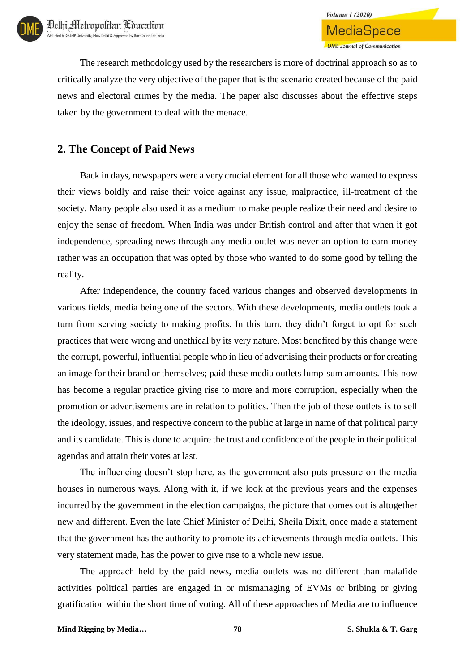The research methodology used by the researchers is more of doctrinal approach so as to critically analyze the very objective of the paper that is the scenario created because of the paid news and electoral crimes by the media. The paper also discusses about the effective steps taken by the government to deal with the menace.

## **2. The Concept of Paid News**

Back in days, newspapers were a very crucial element for all those who wanted to express their views boldly and raise their voice against any issue, malpractice, ill-treatment of the society. Many people also used it as a medium to make people realize their need and desire to enjoy the sense of freedom. When India was under British control and after that when it got independence, spreading news through any media outlet was never an option to earn money rather was an occupation that was opted by those who wanted to do some good by telling the reality.

After independence, the country faced various changes and observed developments in various fields, media being one of the sectors. With these developments, media outlets took a turn from serving society to making profits. In this turn, they didn't forget to opt for such practices that were wrong and unethical by its very nature. Most benefited by this change were the corrupt, powerful, influential people who in lieu of advertising their products or for creating an image for their brand or themselves; paid these media outlets lump-sum amounts. This now has become a regular practice giving rise to more and more corruption, especially when the promotion or advertisements are in relation to politics. Then the job of these outlets is to sell the ideology, issues, and respective concern to the public at large in name of that political party and its candidate. This is done to acquire the trust and confidence of the people in their political agendas and attain their votes at last.

The influencing doesn't stop here, as the government also puts pressure on the media houses in numerous ways. Along with it, if we look at the previous years and the expenses incurred by the government in the election campaigns, the picture that comes out is altogether new and different. Even the late Chief Minister of Delhi, Sheila Dixit, once made a statement that the government has the authority to promote its achievements through media outlets. This very statement made, has the power to give rise to a whole new issue.

The approach held by the paid news, media outlets was no different than malafide activities political parties are engaged in or mismanaging of EVMs or bribing or giving gratification within the short time of voting. All of these approaches of Media are to influence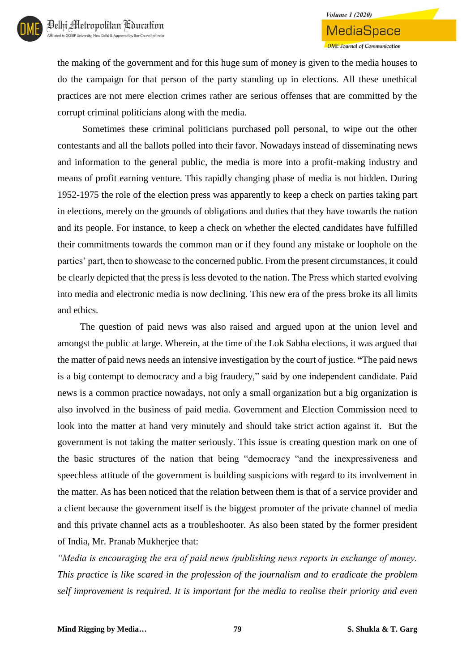

## **Volume 1 (2020) MediaSpace DME** Journal of Communication

the making of the government and for this huge sum of money is given to the media houses to do the campaign for that person of the party standing up in elections. All these unethical practices are not mere election crimes rather are serious offenses that are committed by the corrupt criminal politicians along with the media.

Sometimes these criminal politicians purchased poll personal, to wipe out the other contestants and all the ballots polled into their favor. Nowadays instead of disseminating news and information to the general public, the media is more into a profit-making industry and means of profit earning venture. This rapidly changing phase of media is not hidden. During 1952-1975 the role of the election press was apparently to keep a check on parties taking part in elections, merely on the grounds of obligations and duties that they have towards the nation and its people. For instance, to keep a check on whether the elected candidates have fulfilled their commitments towards the common man or if they found any mistake or loophole on the parties' part, then to showcase to the concerned public. From the present circumstances, it could be clearly depicted that the press is less devoted to the nation. The Press which started evolving into media and electronic media is now declining. This new era of the press broke its all limits and ethics.

The question of paid news was also raised and argued upon at the union level and amongst the public at large. Wherein, at the time of the Lok Sabha elections, it was argued that the matter of paid news needs an intensive investigation by the court of justice. **"**The paid news is a big contempt to democracy and a big fraudery," said by one independent candidate. Paid news is a common practice nowadays, not only a small organization but a big organization is also involved in the business of paid media. Government and Election Commission need to look into the matter at hand very minutely and should take strict action against it. But the government is not taking the matter seriously. This issue is creating question mark on one of the basic structures of the nation that being "democracy "and the inexpressiveness and speechless attitude of the government is building suspicions with regard to its involvement in the matter. As has been noticed that the relation between them is that of a service provider and a client because the government itself is the biggest promoter of the private channel of media and this private channel acts as a troubleshooter. As also been stated by the former president of India, Mr. Pranab Mukherjee that:

*"Media is encouraging the era of paid news (publishing news reports in exchange of money. This practice is like scared in the profession of the journalism and to eradicate the problem self improvement is required. It is important for the media to realise their priority and even*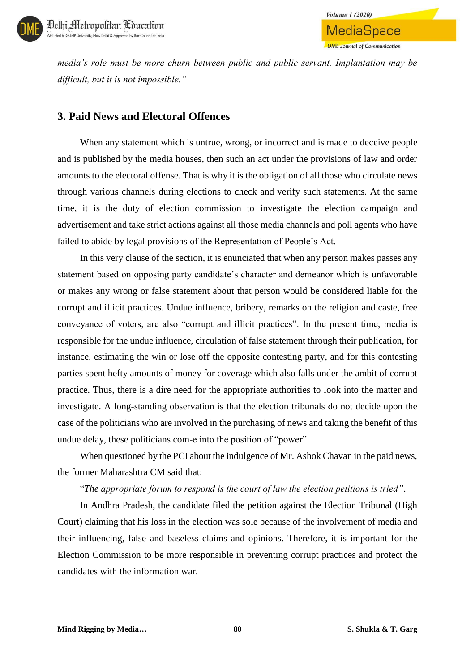

*media's role must be more churn between public and public servant. Implantation may be difficult, but it is not impossible."*

**Volume 1 (2020)** 

MediaSpace

**DME** Journal of Communication

## **3. Paid News and Electoral Offences**

When any statement which is untrue, wrong, or incorrect and is made to deceive people and is published by the media houses, then such an act under the provisions of law and order amounts to the electoral offense. That is why it is the obligation of all those who circulate news through various channels during elections to check and verify such statements. At the same time, it is the duty of election commission to investigate the election campaign and advertisement and take strict actions against all those media channels and poll agents who have failed to abide by legal provisions of the Representation of People's Act.

In this very clause of the section, it is enunciated that when any person makes passes any statement based on opposing party candidate's character and demeanor which is unfavorable or makes any wrong or false statement about that person would be considered liable for the corrupt and illicit practices. Undue influence, bribery, remarks on the religion and caste, free conveyance of voters, are also "corrupt and illicit practices". In the present time, media is responsible for the undue influence, circulation of false statement through their publication, for instance, estimating the win or lose off the opposite contesting party, and for this contesting parties spent hefty amounts of money for coverage which also falls under the ambit of corrupt practice. Thus, there is a dire need for the appropriate authorities to look into the matter and investigate. A long-standing observation is that the election tribunals do not decide upon the case of the politicians who are involved in the purchasing of news and taking the benefit of this undue delay, these politicians com-e into the position of "power".

When questioned by the PCI about the indulgence of Mr. Ashok Chavan in the paid news, the former Maharashtra CM said that:

#### "*The appropriate forum to respond is the court of law the election petitions is tried"*.

In Andhra Pradesh, the candidate filed the petition against the Election Tribunal (High Court) claiming that his loss in the election was sole because of the involvement of media and their influencing, false and baseless claims and opinions. Therefore, it is important for the Election Commission to be more responsible in preventing corrupt practices and protect the candidates with the information war.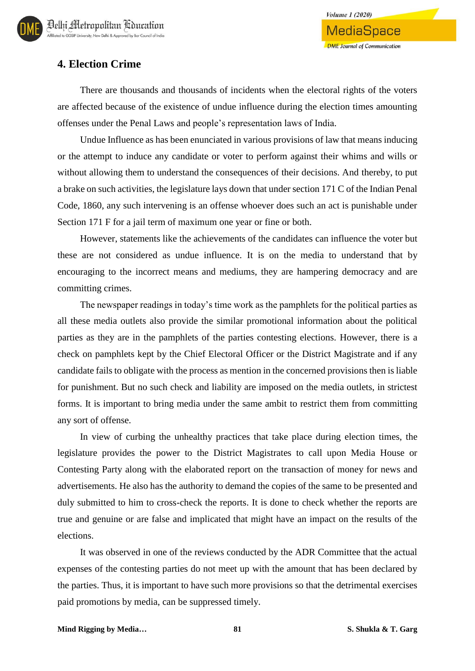## **4. Election Crime**

There are thousands and thousands of incidents when the electoral rights of the voters are affected because of the existence of undue influence during the election times amounting offenses under the Penal Laws and people's representation laws of India.

Undue Influence as has been enunciated in various provisions of law that means inducing or the attempt to induce any candidate or voter to perform against their whims and wills or without allowing them to understand the consequences of their decisions. And thereby, to put a brake on such activities, the legislature lays down that under section 171 C of the Indian Penal Code, 1860, any such intervening is an offense whoever does such an act is punishable under Section 171 F for a jail term of maximum one year or fine or both.

However, statements like the achievements of the candidates can influence the voter but these are not considered as undue influence. It is on the media to understand that by encouraging to the incorrect means and mediums, they are hampering democracy and are committing crimes.

The newspaper readings in today's time work as the pamphlets for the political parties as all these media outlets also provide the similar promotional information about the political parties as they are in the pamphlets of the parties contesting elections. However, there is a check on pamphlets kept by the Chief Electoral Officer or the District Magistrate and if any candidate fails to obligate with the process as mention in the concerned provisions then is liable for punishment. But no such check and liability are imposed on the media outlets, in strictest forms. It is important to bring media under the same ambit to restrict them from committing any sort of offense.

In view of curbing the unhealthy practices that take place during election times, the legislature provides the power to the District Magistrates to call upon Media House or Contesting Party along with the elaborated report on the transaction of money for news and advertisements. He also has the authority to demand the copies of the same to be presented and duly submitted to him to cross-check the reports. It is done to check whether the reports are true and genuine or are false and implicated that might have an impact on the results of the elections.

It was observed in one of the reviews conducted by the ADR Committee that the actual expenses of the contesting parties do not meet up with the amount that has been declared by the parties. Thus, it is important to have such more provisions so that the detrimental exercises paid promotions by media, can be suppressed timely.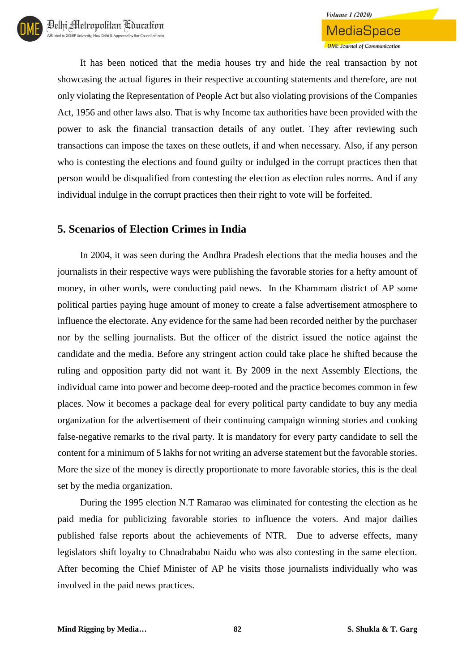It has been noticed that the media houses try and hide the real transaction by not showcasing the actual figures in their respective accounting statements and therefore, are not only violating the Representation of People Act but also violating provisions of the Companies Act, 1956 and other laws also. That is why Income tax authorities have been provided with the power to ask the financial transaction details of any outlet. They after reviewing such transactions can impose the taxes on these outlets, if and when necessary. Also, if any person who is contesting the elections and found guilty or indulged in the corrupt practices then that person would be disqualified from contesting the election as election rules norms. And if any individual indulge in the corrupt practices then their right to vote will be forfeited.

### **5. Scenarios of Election Crimes in India**

In 2004, it was seen during the Andhra Pradesh elections that the media houses and the journalists in their respective ways were publishing the favorable stories for a hefty amount of money, in other words, were conducting paid news. In the Khammam district of AP some political parties paying huge amount of money to create a false advertisement atmosphere to influence the electorate. Any evidence for the same had been recorded neither by the purchaser nor by the selling journalists. But the officer of the district issued the notice against the candidate and the media. Before any stringent action could take place he shifted because the ruling and opposition party did not want it. By 2009 in the next Assembly Elections, the individual came into power and become deep-rooted and the practice becomes common in few places. Now it becomes a package deal for every political party candidate to buy any media organization for the advertisement of their continuing campaign winning stories and cooking false-negative remarks to the rival party. It is mandatory for every party candidate to sell the content for a minimum of 5 lakhs for not writing an adverse statement but the favorable stories. More the size of the money is directly proportionate to more favorable stories, this is the deal set by the media organization.

During the 1995 election N.T Ramarao was eliminated for contesting the election as he paid media for publicizing favorable stories to influence the voters. And major dailies published false reports about the achievements of NTR. Due to adverse effects, many legislators shift loyalty to Chnadrababu Naidu who was also contesting in the same election. After becoming the Chief Minister of AP he visits those journalists individually who was involved in the paid news practices.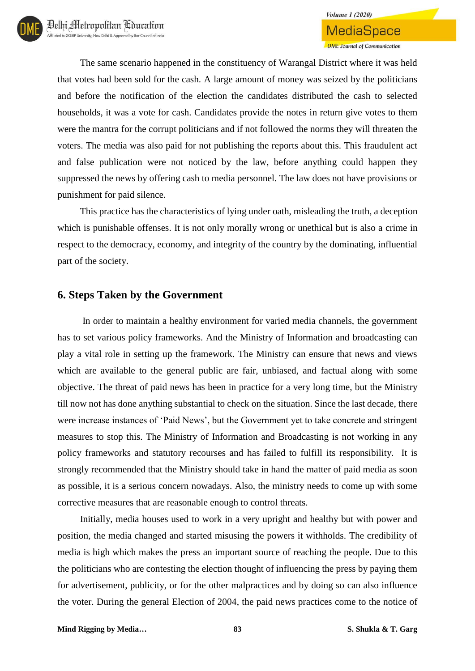The same scenario happened in the constituency of Warangal District where it was held that votes had been sold for the cash. A large amount of money was seized by the politicians and before the notification of the election the candidates distributed the cash to selected households, it was a vote for cash. Candidates provide the notes in return give votes to them were the mantra for the corrupt politicians and if not followed the norms they will threaten the voters. The media was also paid for not publishing the reports about this. This fraudulent act and false publication were not noticed by the law, before anything could happen they suppressed the news by offering cash to media personnel. The law does not have provisions or punishment for paid silence.

This practice has the characteristics of lying under oath, misleading the truth, a deception which is punishable offenses. It is not only morally wrong or unethical but is also a crime in respect to the democracy, economy, and integrity of the country by the dominating, influential part of the society.

### **6. Steps Taken by the Government**

In order to maintain a healthy environment for varied media channels, the government has to set various policy frameworks. And the Ministry of Information and broadcasting can play a vital role in setting up the framework. The Ministry can ensure that news and views which are available to the general public are fair, unbiased, and factual along with some objective. The threat of paid news has been in practice for a very long time, but the Ministry till now not has done anything substantial to check on the situation. Since the last decade, there were increase instances of 'Paid News', but the Government yet to take concrete and stringent measures to stop this. The Ministry of Information and Broadcasting is not working in any policy frameworks and statutory recourses and has failed to fulfill its responsibility. It is strongly recommended that the Ministry should take in hand the matter of paid media as soon as possible, it is a serious concern nowadays. Also, the ministry needs to come up with some corrective measures that are reasonable enough to control threats.

Initially, media houses used to work in a very upright and healthy but with power and position, the media changed and started misusing the powers it withholds. The credibility of media is high which makes the press an important source of reaching the people. Due to this the politicians who are contesting the election thought of influencing the press by paying them for advertisement, publicity, or for the other malpractices and by doing so can also influence the voter. During the general Election of 2004, the paid news practices come to the notice of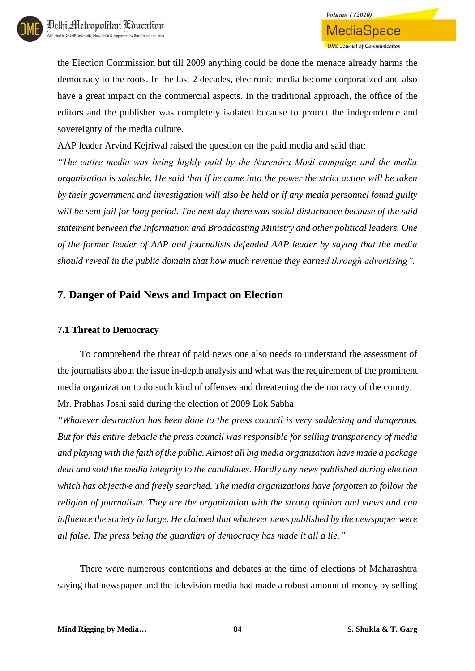the Election Commission but till 2009 anything could be done the menace already harms the democracy to the roots. In the last 2 decades, electronic media become corporatized and also have a great impact on the commercial aspects. In the traditional approach, the office of the editors and the publisher was completely isolated because to protect the independence and sovereignty of the media culture.

AAP leader Arvind Kejriwal raised the question on the paid media and said that:

*"The entire media was being highly paid by the Narendra Modi campaign and the media organization is saleable. He said that if he came into the power the strict action will be taken by their government and investigation will also be held or if any media personnel found guilty will be sent jail for long period. The next day there was social disturbance because of the said statement between the Information and Broadcasting Ministry and other political leaders. One of the former leader of AAP and journalists defended AAP leader by saying that the media should reveal in the public domain that how much revenue they earned through advertising".*

## **7. Danger of Paid News and Impact on Election**

#### **7.1 Threat to Democracy**

To comprehend the threat of paid news one also needs to understand the assessment of the journalists about the issue in-depth analysis and what was the requirement of the prominent media organization to do such kind of offenses and threatening the democracy of the county. Mr. Prabhas Joshi said during the election of 2009 Lok Sabha:

*"Whatever destruction has been done to the press council is very saddening and dangerous. But for this entire debacle the press council was responsible for selling transparency of media and playing with the faith of the public. Almost all big media organization have made a package deal and sold the media integrity to the candidates. Hardly any news published during election which has objective and freely searched. The media organizations have forgotten to follow the religion of journalism. They are the organization with the strong opinion and views and can influence the society in large. He claimed that whatever news published by the newspaper were all false. The press being the guardian of democracy has made it all a lie."*

There were numerous contentions and debates at the time of elections of Maharashtra saying that newspaper and the television media had made a robust amount of money by selling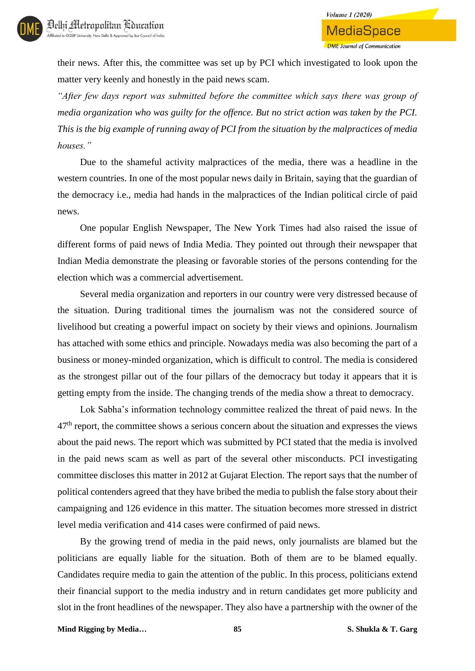their news. After this, the committee was set up by PCI which investigated to look upon the matter very keenly and honestly in the paid news scam.

*"After few days report was submitted before the committee which says there was group of media organization who was guilty for the offence. But no strict action was taken by the PCI. This is the big example of running away of PCI from the situation by the malpractices of media houses."*

Due to the shameful activity malpractices of the media, there was a headline in the western countries. In one of the most popular news daily in Britain, saying that the guardian of the democracy i.e., media had hands in the malpractices of the Indian political circle of paid news.

One popular English Newspaper, The New York Times had also raised the issue of different forms of paid news of India Media. They pointed out through their newspaper that Indian Media demonstrate the pleasing or favorable stories of the persons contending for the election which was a commercial advertisement.

Several media organization and reporters in our country were very distressed because of the situation. During traditional times the journalism was not the considered source of livelihood but creating a powerful impact on society by their views and opinions. Journalism has attached with some ethics and principle. Nowadays media was also becoming the part of a business or money-minded organization, which is difficult to control. The media is considered as the strongest pillar out of the four pillars of the democracy but today it appears that it is getting empty from the inside. The changing trends of the media show a threat to democracy.

Lok Sabha's information technology committee realized the threat of paid news. In the  $47<sup>th</sup>$  report, the committee shows a serious concern about the situation and expresses the views about the paid news. The report which was submitted by PCI stated that the media is involved in the paid news scam as well as part of the several other misconducts. PCI investigating committee discloses this matter in 2012 at Gujarat Election. The report says that the number of political contenders agreed that they have bribed the media to publish the false story about their campaigning and 126 evidence in this matter. The situation becomes more stressed in district level media verification and 414 cases were confirmed of paid news.

By the growing trend of media in the paid news, only journalists are blamed but the politicians are equally liable for the situation. Both of them are to be blamed equally. Candidates require media to gain the attention of the public. In this process, politicians extend their financial support to the media industry and in return candidates get more publicity and slot in the front headlines of the newspaper. They also have a partnership with the owner of the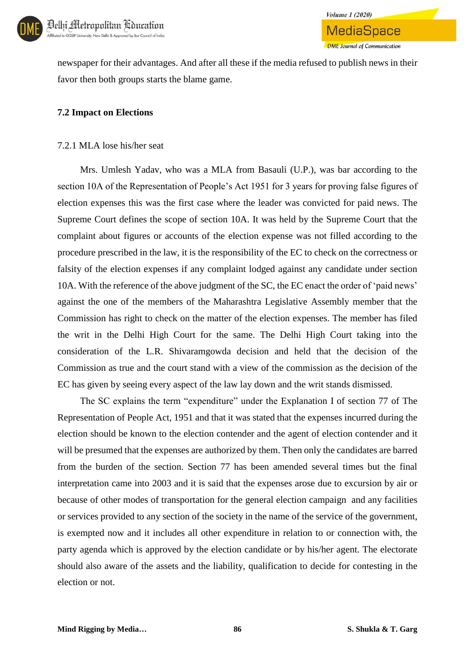

newspaper for their advantages. And after all these if the media refused to publish news in their favor then both groups starts the blame game.

**Volume 1 (2020)** 

MediaSpace

**DME** Journal of Communication

#### **7.2 Impact on Elections**

#### 7.2.1 MLA lose his/her seat

Mrs. Umlesh Yadav, who was a MLA from Basauli (U.P.), was bar according to the section 10A of the Representation of People's Act 1951 for 3 years for proving false figures of election expenses this was the first case where the leader was convicted for paid news. The Supreme Court defines the scope of section 10A. It was held by the Supreme Court that the complaint about figures or accounts of the election expense was not filled according to the procedure prescribed in the law, it is the responsibility of the EC to check on the correctness or falsity of the election expenses if any complaint lodged against any candidate under section 10A. With the reference of the above judgment of the SC, the EC enact the order of 'paid news' against the one of the members of the Maharashtra Legislative Assembly member that the Commission has right to check on the matter of the election expenses. The member has filed the writ in the Delhi High Court for the same. The Delhi High Court taking into the consideration of the L.R. Shivaramgowda decision and held that the decision of the Commission as true and the court stand with a view of the commission as the decision of the EC has given by seeing every aspect of the law lay down and the writ stands dismissed.

The SC explains the term "expenditure" under the Explanation I of section 77 of The Representation of People Act, 1951 and that it was stated that the expenses incurred during the election should be known to the election contender and the agent of election contender and it will be presumed that the expenses are authorized by them. Then only the candidates are barred from the burden of the section. Section 77 has been amended several times but the final interpretation came into 2003 and it is said that the expenses arose due to excursion by air or because of other modes of transportation for the general election campaign and any facilities or services provided to any section of the society in the name of the service of the government, is exempted now and it includes all other expenditure in relation to or connection with, the party agenda which is approved by the election candidate or by his/her agent. The electorate should also aware of the assets and the liability, qualification to decide for contesting in the election or not.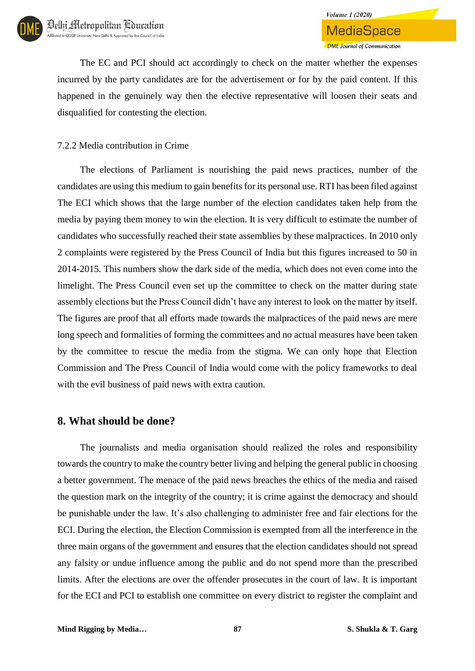The EC and PCI should act accordingly to check on the matter whether the expenses incurred by the party candidates are for the advertisement or for by the paid content. If this happened in the genuinely way then the elective representative will loosen their seats and disqualified for contesting the election.

### 7.2.2 Media contribution in Crime

The elections of Parliament is nourishing the paid news practices, number of the candidates are using this medium to gain benefits for its personal use. RTI has been filed against The ECI which shows that the large number of the election candidates taken help from the media by paying them money to win the election. It is very difficult to estimate the number of candidates who successfully reached their state assemblies by these malpractices. In 2010 only 2 complaints were registered by the Press Council of India but this figures increased to 50 in 2014-2015. This numbers show the dark side of the media, which does not even come into the limelight. The Press Council even set up the committee to check on the matter during state assembly elections but the Press Council didn't have any interest to look on the matter by itself. The figures are proof that all efforts made towards the malpractices of the paid news are mere long speech and formalities of forming the committees and no actual measures have been taken by the committee to rescue the media from the stigma. We can only hope that Election Commission and The Press Council of India would come with the policy frameworks to deal with the evil business of paid news with extra caution.

### **8. What should be done?**

The journalists and media organisation should realized the roles and responsibility towards the country to make the country better living and helping the general public in choosing a better government. The menace of the paid news breaches the ethics of the media and raised the question mark on the integrity of the country; it is crime against the democracy and should be punishable under the law. It's also challenging to administer free and fair elections for the ECI. During the election, the Election Commission is exempted from all the interference in the three main organs of the government and ensures that the election candidates should not spread any falsity or undue influence among the public and do not spend more than the prescribed limits. After the elections are over the offender prosecutes in the court of law. It is important for the ECI and PCI to establish one committee on every district to register the complaint and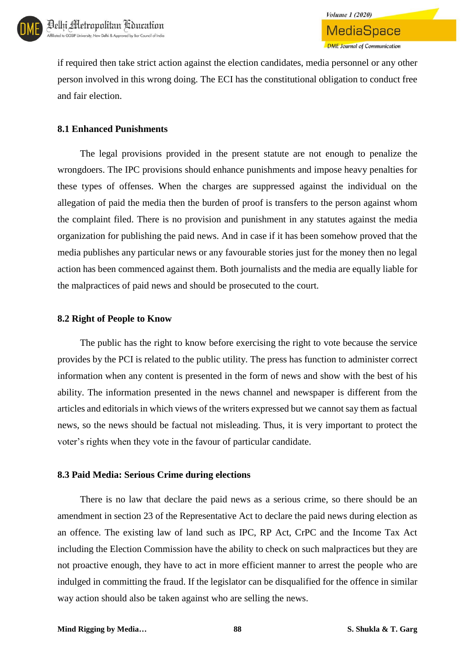

**Volume 1 (2020)** 

if required then take strict action against the election candidates, media personnel or any other person involved in this wrong doing. The ECI has the constitutional obligation to conduct free and fair election.

#### **8.1 Enhanced Punishments**

The legal provisions provided in the present statute are not enough to penalize the wrongdoers. The IPC provisions should enhance punishments and impose heavy penalties for these types of offenses. When the charges are suppressed against the individual on the allegation of paid the media then the burden of proof is transfers to the person against whom the complaint filed. There is no provision and punishment in any statutes against the media organization for publishing the paid news. And in case if it has been somehow proved that the media publishes any particular news or any favourable stories just for the money then no legal action has been commenced against them. Both journalists and the media are equally liable for the malpractices of paid news and should be prosecuted to the court.

#### **8.2 Right of People to Know**

The public has the right to know before exercising the right to vote because the service provides by the PCI is related to the public utility. The press has function to administer correct information when any content is presented in the form of news and show with the best of his ability. The information presented in the news channel and newspaper is different from the articles and editorials in which views of the writers expressed but we cannot say them as factual news, so the news should be factual not misleading. Thus, it is very important to protect the voter's rights when they vote in the favour of particular candidate.

#### **8.3 Paid Media: Serious Crime during elections**

There is no law that declare the paid news as a serious crime, so there should be an amendment in section 23 of the Representative Act to declare the paid news during election as an offence. The existing law of land such as IPC, RP Act, CrPC and the Income Tax Act including the Election Commission have the ability to check on such malpractices but they are not proactive enough, they have to act in more efficient manner to arrest the people who are indulged in committing the fraud. If the legislator can be disqualified for the offence in similar way action should also be taken against who are selling the news.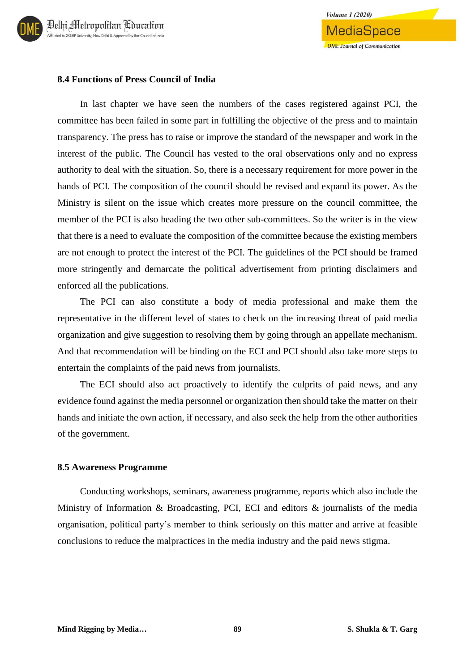

#### **8.4 Functions of Press Council of India**

In last chapter we have seen the numbers of the cases registered against PCI, the committee has been failed in some part in fulfilling the objective of the press and to maintain transparency. The press has to raise or improve the standard of the newspaper and work in the interest of the public. The Council has vested to the oral observations only and no express authority to deal with the situation. So, there is a necessary requirement for more power in the hands of PCI. The composition of the council should be revised and expand its power. As the Ministry is silent on the issue which creates more pressure on the council committee, the member of the PCI is also heading the two other sub-committees. So the writer is in the view that there is a need to evaluate the composition of the committee because the existing members are not enough to protect the interest of the PCI. The guidelines of the PCI should be framed more stringently and demarcate the political advertisement from printing disclaimers and enforced all the publications.

The PCI can also constitute a body of media professional and make them the representative in the different level of states to check on the increasing threat of paid media organization and give suggestion to resolving them by going through an appellate mechanism. And that recommendation will be binding on the ECI and PCI should also take more steps to entertain the complaints of the paid news from journalists.

The ECI should also act proactively to identify the culprits of paid news, and any evidence found against the media personnel or organization then should take the matter on their hands and initiate the own action, if necessary, and also seek the help from the other authorities of the government.

#### **8.5 Awareness Programme**

Conducting workshops, seminars, awareness programme, reports which also include the Ministry of Information & Broadcasting, PCI, ECI and editors & journalists of the media organisation, political party's member to think seriously on this matter and arrive at feasible conclusions to reduce the malpractices in the media industry and the paid news stigma.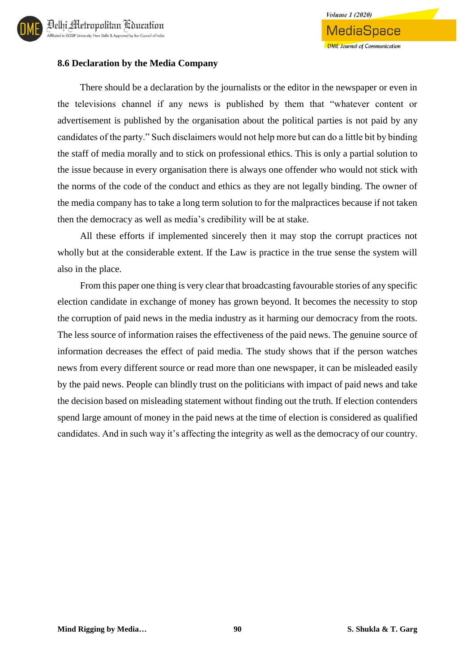

**Volume 1 (2020)** 

MediaSpace

#### **8.6 Declaration by the Media Company**

There should be a declaration by the journalists or the editor in the newspaper or even in the televisions channel if any news is published by them that "whatever content or advertisement is published by the organisation about the political parties is not paid by any candidates of the party." Such disclaimers would not help more but can do a little bit by binding the staff of media morally and to stick on professional ethics. This is only a partial solution to the issue because in every organisation there is always one offender who would not stick with the norms of the code of the conduct and ethics as they are not legally binding. The owner of the media company has to take a long term solution to for the malpractices because if not taken then the democracy as well as media's credibility will be at stake.

All these efforts if implemented sincerely then it may stop the corrupt practices not wholly but at the considerable extent. If the Law is practice in the true sense the system will also in the place.

From this paper one thing is very clear that broadcasting favourable stories of any specific election candidate in exchange of money has grown beyond. It becomes the necessity to stop the corruption of paid news in the media industry as it harming our democracy from the roots. The less source of information raises the effectiveness of the paid news. The genuine source of information decreases the effect of paid media. The study shows that if the person watches news from every different source or read more than one newspaper, it can be misleaded easily by the paid news. People can blindly trust on the politicians with impact of paid news and take the decision based on misleading statement without finding out the truth. If election contenders spend large amount of money in the paid news at the time of election is considered as qualified candidates. And in such way it's affecting the integrity as well as the democracy of our country.